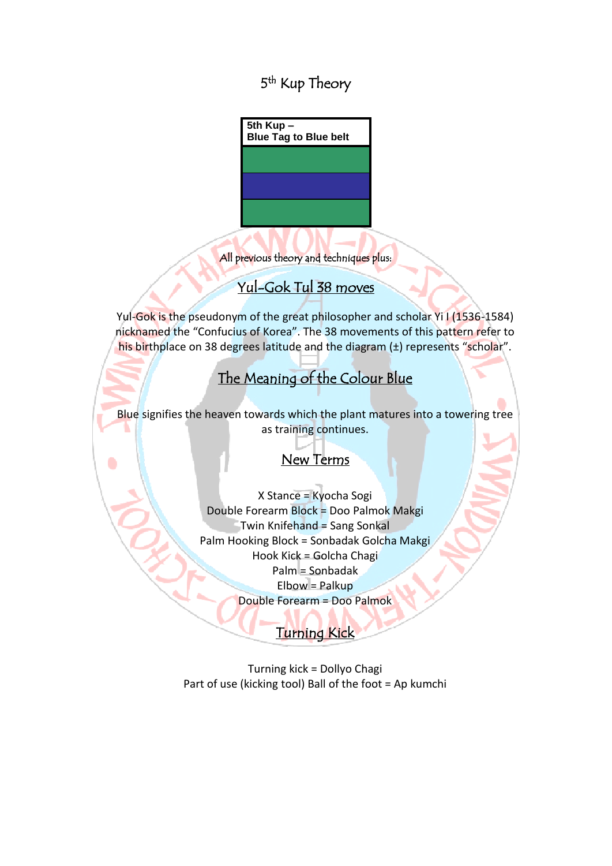5<sup>th</sup> Kup Theory

**5th Kup – Blue Tag to Blue belt**

All previous theory and techniques plus:

### Yul-Gok Tul 38 moves

Yul-Gok is the pseudonym of the great philosopher and scholar Yi I (1536-1584) nicknamed the "Confucius of Korea". The 38 movements of this pattern refer to his birthplace on 38 degrees latitude and the diagram (±) represents "scholar".

### The Meaning of the Colour Blue ļ

Blue signifies the heaven towards which the plant matures into a towering tree as training continues.

#### Ī New Terms

l

X Stance = Kyocha Sogi Double Forearm Block = Doo Palmok Makgi Twin Knifehand = Sang Sonkal Palm Hooking Block = Sonbadak Golcha Makgi Hook Kick = Golcha Chagi Palm = Sonbadak Elbow = Palkup Double Forearm = Doo Palmok

#### **Turning Kick**

Ī

Turning kick = Dollyo Chagi Part of use (kicking tool) Ball of the foot = Ap kumchi